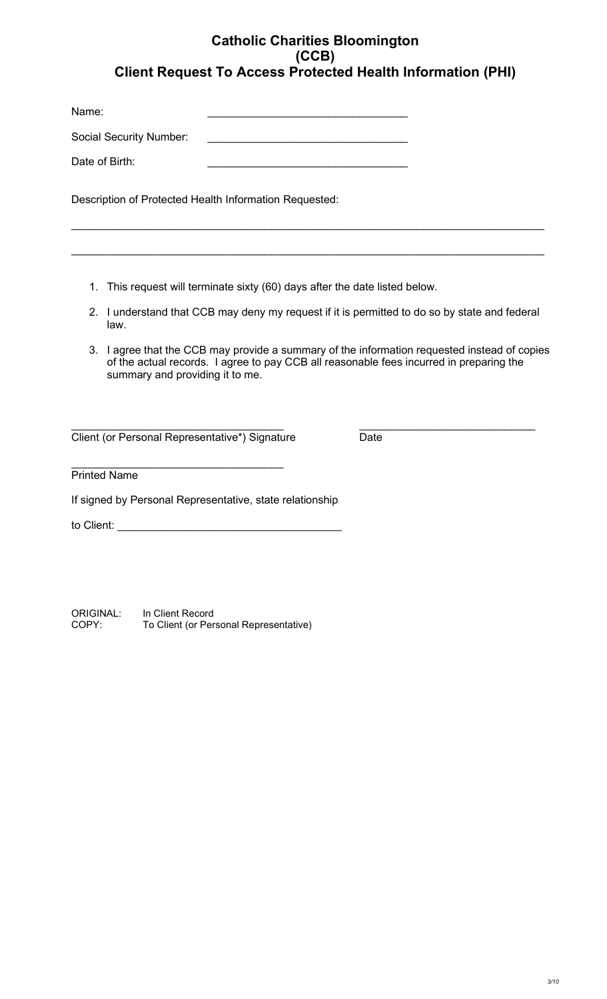## **Catholic Charities Bloomington (CCB) Client Request To Access Protected Health Information (PHI)**

| Name:                   |  |
|-------------------------|--|
| Social Security Number: |  |

Date of Birth:

Description of Protected Health Information Requested:

- 1. This request will terminate sixty (60) days after the date listed below.
- 2. I understand that CCB may deny my request if it is permitted to do so by state and federal law.

\_\_\_\_\_\_\_\_\_\_\_\_\_\_\_\_\_\_\_\_\_\_\_\_\_\_\_\_\_\_\_\_\_\_\_\_\_\_\_\_\_\_\_\_\_\_\_\_\_\_\_\_\_\_\_\_\_\_\_\_\_\_\_\_\_\_\_\_\_\_\_\_\_\_\_\_\_\_

 $\_$  , and the set of the set of the set of the set of the set of the set of the set of the set of the set of the set of the set of the set of the set of the set of the set of the set of the set of the set of the set of th

3. I agree that the CCB may provide a summary of the information requested instead of copies of the actual records. I agree to pay CCB all reasonable fees incurred in preparing the summary and providing it to me.

 $\mathcal{L}_\text{max}$  , where  $\mathcal{L}_\text{max}$  , we have the set of  $\mathcal{L}_\text{max}$ Client (or Personal Representative\*) Signature

 $\_$ Date

 $\overline{\phantom{a}}$  , where  $\overline{\phantom{a}}$  , where  $\overline{\phantom{a}}$  , where  $\overline{\phantom{a}}$  , where  $\overline{\phantom{a}}$ Printed Name

If signed by Personal Representative, state relationship

to Client:

ORIGINAL: In Client Record COPY: To Client (or Personal Representative)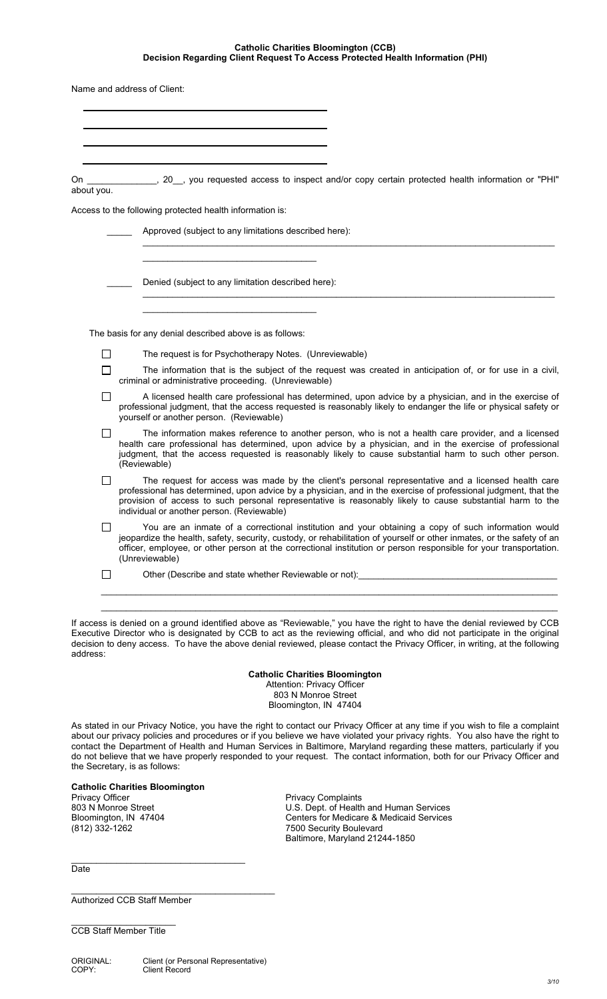## **Catholic Charities Bloomington (CCB) Decision Regarding Client Request To Access Protected Health Information (PHI)**

| On ______________, 20__, you requested access to inspect and/or copy certain protected health information or "PHI"<br>about you.<br>Access to the following protected health information is:<br>Approved (subject to any limitations described here):<br>Denied (subject to any limitation described here):<br>The basis for any denial described above is as follows:<br>The request is for Psychotherapy Notes. (Unreviewable)<br>$\Box$<br>The information that is the subject of the request was created in anticipation of, or for use in a civil,<br>criminal or administrative proceeding. (Unreviewable)<br>$\mathsf{L}$<br>yourself or another person. (Reviewable)<br>$\mathsf{L}$<br>(Reviewable)<br>individual or another person. (Reviewable)<br>$\Box$<br>(Unreviewable) | Name and address of Client:                                                                                                                                                                                                                                                                                                                       |
|----------------------------------------------------------------------------------------------------------------------------------------------------------------------------------------------------------------------------------------------------------------------------------------------------------------------------------------------------------------------------------------------------------------------------------------------------------------------------------------------------------------------------------------------------------------------------------------------------------------------------------------------------------------------------------------------------------------------------------------------------------------------------------------|---------------------------------------------------------------------------------------------------------------------------------------------------------------------------------------------------------------------------------------------------------------------------------------------------------------------------------------------------|
|                                                                                                                                                                                                                                                                                                                                                                                                                                                                                                                                                                                                                                                                                                                                                                                        |                                                                                                                                                                                                                                                                                                                                                   |
|                                                                                                                                                                                                                                                                                                                                                                                                                                                                                                                                                                                                                                                                                                                                                                                        |                                                                                                                                                                                                                                                                                                                                                   |
|                                                                                                                                                                                                                                                                                                                                                                                                                                                                                                                                                                                                                                                                                                                                                                                        |                                                                                                                                                                                                                                                                                                                                                   |
|                                                                                                                                                                                                                                                                                                                                                                                                                                                                                                                                                                                                                                                                                                                                                                                        |                                                                                                                                                                                                                                                                                                                                                   |
|                                                                                                                                                                                                                                                                                                                                                                                                                                                                                                                                                                                                                                                                                                                                                                                        |                                                                                                                                                                                                                                                                                                                                                   |
|                                                                                                                                                                                                                                                                                                                                                                                                                                                                                                                                                                                                                                                                                                                                                                                        |                                                                                                                                                                                                                                                                                                                                                   |
|                                                                                                                                                                                                                                                                                                                                                                                                                                                                                                                                                                                                                                                                                                                                                                                        |                                                                                                                                                                                                                                                                                                                                                   |
|                                                                                                                                                                                                                                                                                                                                                                                                                                                                                                                                                                                                                                                                                                                                                                                        |                                                                                                                                                                                                                                                                                                                                                   |
|                                                                                                                                                                                                                                                                                                                                                                                                                                                                                                                                                                                                                                                                                                                                                                                        | A licensed health care professional has determined, upon advice by a physician, and in the exercise of<br>professional judgment, that the access requested is reasonably likely to endanger the life or physical safety or                                                                                                                        |
|                                                                                                                                                                                                                                                                                                                                                                                                                                                                                                                                                                                                                                                                                                                                                                                        | The information makes reference to another person, who is not a health care provider, and a licensed<br>health care professional has determined, upon advice by a physician, and in the exercise of professional<br>judgment, that the access requested is reasonably likely to cause substantial harm to such other person.                      |
|                                                                                                                                                                                                                                                                                                                                                                                                                                                                                                                                                                                                                                                                                                                                                                                        | The request for access was made by the client's personal representative and a licensed health care<br>professional has determined, upon advice by a physician, and in the exercise of professional judgment, that the<br>provision of access to such personal representative is reasonably likely to cause substantial harm to the                |
|                                                                                                                                                                                                                                                                                                                                                                                                                                                                                                                                                                                                                                                                                                                                                                                        | You are an inmate of a correctional institution and your obtaining a copy of such information would<br>jeopardize the health, safety, security, custody, or rehabilitation of yourself or other inmates, or the safety of an<br>officer, employee, or other person at the correctional institution or person responsible for your transportation. |
|                                                                                                                                                                                                                                                                                                                                                                                                                                                                                                                                                                                                                                                                                                                                                                                        | Other (Describe and state whether Reviewable or not):                                                                                                                                                                                                                                                                                             |

If access is denied on a ground identified above as "Reviewable," you have the right to have the denial reviewed by CCB Executive Director who is designated by CCB to act as the reviewing official, and who did not participate in the original decision to deny access. To have the above denial reviewed, please contact the Privacy Officer, in writing, at the following address:

 $\mathcal{L}_\mathcal{L} = \mathcal{L}_\mathcal{L} = \mathcal{L}_\mathcal{L} = \mathcal{L}_\mathcal{L} = \mathcal{L}_\mathcal{L} = \mathcal{L}_\mathcal{L} = \mathcal{L}_\mathcal{L} = \mathcal{L}_\mathcal{L} = \mathcal{L}_\mathcal{L} = \mathcal{L}_\mathcal{L} = \mathcal{L}_\mathcal{L} = \mathcal{L}_\mathcal{L} = \mathcal{L}_\mathcal{L} = \mathcal{L}_\mathcal{L} = \mathcal{L}_\mathcal{L} = \mathcal{L}_\mathcal{L} = \mathcal{L}_\mathcal{L}$ 

**Catholic Charities Bloomington** Attention: Privacy Officer 803 N Monroe Street Bloomington, IN 47404

As stated in our Privacy Notice, you have the right to contact our Privacy Officer at any time if you wish to file a complaint about our privacy policies and procedures or if you believe we have violated your privacy rights. You also have the right to contact the Department of Health and Human Services in Baltimore, Maryland regarding these matters, particularly if you do not believe that we have properly responded to your request. The contact information, both for our Privacy Officer and the Secretary, is as follows:

**Catholic Charities Bloomington** Privacy Officer **Privacy Officer Street Act 2003** N Monroe Street **Privacy Complaints**<br>
Privacy Complaints 803 N Monroe Street **Privacy Complaints** 

U.S. Dept. of Health and Human Services Bloomington, IN 47404 Centers for Medicare & Medicaid Services 7500 Security Boulevard Baltimore, Maryland 21244-1850

\_\_\_\_\_\_\_\_\_\_\_\_\_\_\_\_\_\_\_\_\_\_\_\_\_\_\_\_\_\_\_\_\_\_\_ Date

\_\_\_\_\_\_\_\_\_\_\_\_\_\_\_\_\_\_\_\_\_\_\_\_\_\_\_\_\_\_\_\_\_\_\_\_\_\_\_\_\_ Authorized CCB Staff Member

 $\mathcal{L}_\text{max}$  , where  $\mathcal{L}_\text{max}$  , we have the set of  $\mathcal{L}_\text{max}$ CCB Staff Member Title

ORIGINAL: Client (or Personal Representative)<br>
COPY: Client Record Client Record